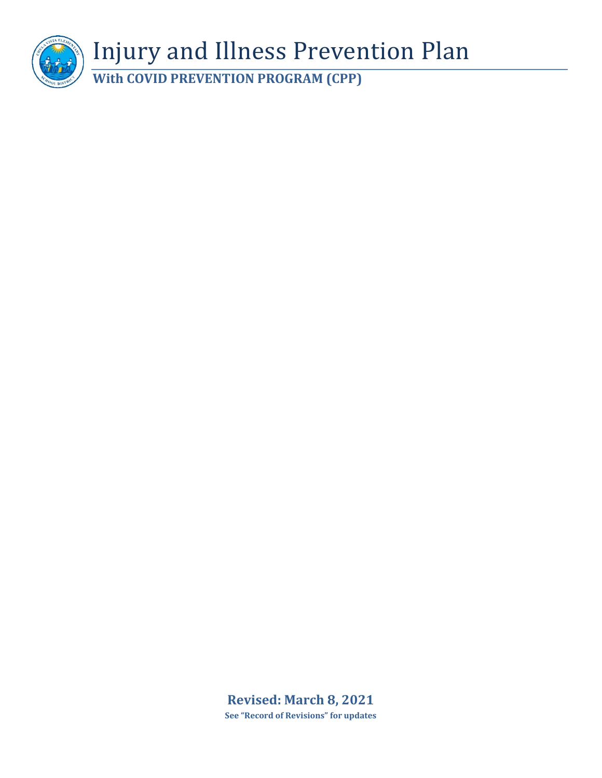

**Revised: March 8, 2021 See "Record of Revisions" for updates**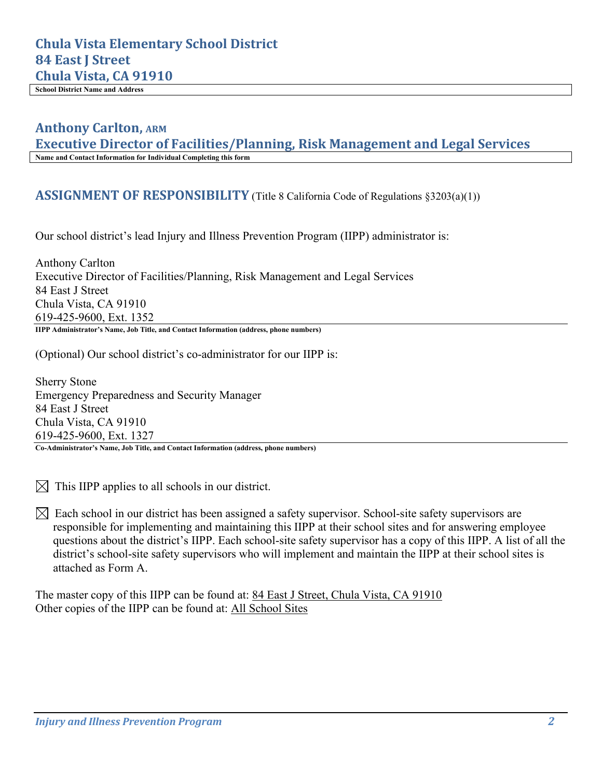# **Chula Vista Elementary School District 84 East J Street Chula Vista, CA 91910**

**School District Name and Address**

# **Anthony Carlton, ARM**

**Executive Director of Facilities/Planning, Risk Management and Legal Services Name and Contact Information for Individual Completing this form**

#### **ASSIGNMENT OF RESPONSIBILITY** (Title 8 California Code of Regulations §3203(a)(1))

Our school district's lead Injury and Illness Prevention Program (IIPP) administrator is:

Anthony Carlton Executive Director of Facilities/Planning, Risk Management and Legal Services 84 East J Street Chula Vista, CA 91910 619-425-9600, Ext. 1352 **IIPP Administrator's Name, Job Title, and Contact Information (address, phone numbers)**

(Optional) Our school district's co-administrator for our IIPP is:

Sherry Stone Emergency Preparedness and Security Manager 84 East J Street Chula Vista, CA 91910 619-425-9600, Ext. 1327

**Co-Administrator's Name, Job Title, and Contact Information (address, phone numbers)**

 $\boxtimes$  This IIPP applies to all schools in our district.

 $\boxtimes$  Each school in our district has been assigned a safety supervisor. School-site safety supervisors are responsible for implementing and maintaining this IIPP at their school sites and for answering employee questions about the district's IIPP. Each school-site safety supervisor has a copy of this IIPP. A list of all the district's school-site safety supervisors who will implement and maintain the IIPP at their school sites is attached as Form A.

The master copy of this IIPP can be found at: 84 East J Street, Chula Vista, CA 91910 Other copies of the IIPP can be found at: All School Sites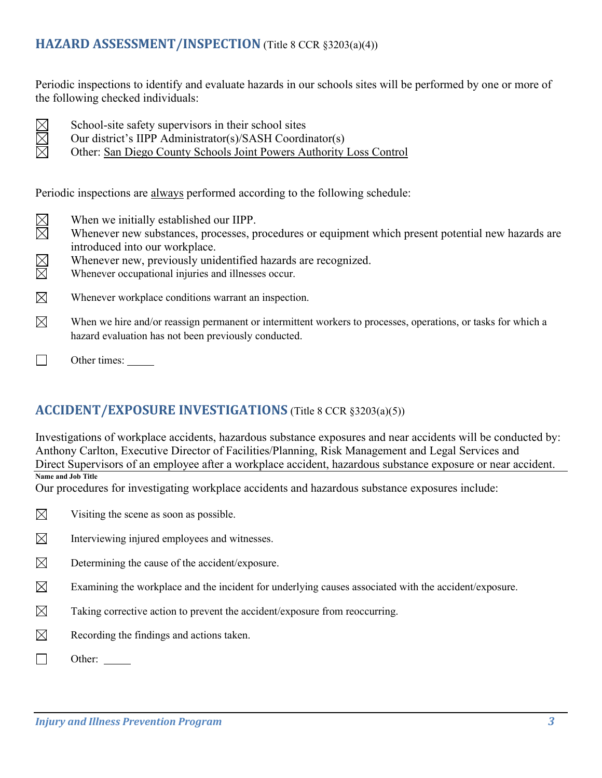# **HAZARD ASSESSMENT/INSPECTION** (Title 8 CCR §3203(a)(4))

Periodic inspections to identify and evaluate hazards in our schools sites will be performed by one or more of the following checked individuals:

- $\boxtimes$ X
- School-site safety supervisors in their school sites
- Our district's IIPP Administrator(s)/SASH Coordinator(s)
- Other: San Diego County Schools Joint Powers Authority Loss Control

Periodic inspections are always performed according to the following schedule:

- $\boxtimes \boxtimes$ When we initially established our IIPP.
- Whenever new substances, processes, procedures or equipment which present potential new hazards are introduced into our workplace.
- $\boxtimes$ Whenever new, previously unidentified hazards are recognized.
- Whenever occupational injuries and illnesses occur.
- $\boxtimes$ Whenever workplace conditions warrant an inspection.
- $\boxtimes$ When we hire and/or reassign permanent or intermittent workers to processes, operations, or tasks for which a hazard evaluation has not been previously conducted.
- $\Box$ Other times:

# **ACCIDENT/EXPOSURE INVESTIGATIONS** (Title 8 CCR §3203(a)(5))

Investigations of workplace accidents, hazardous substance exposures and near accidents will be conducted by: Anthony Carlton, Executive Director of Facilities/Planning, Risk Management and Legal Services and Direct Supervisors of an employee after a workplace accident, hazardous substance exposure or near accident. **Name and Job Title** 

Our procedures for investigating workplace accidents and hazardous substance exposures include:

- $\boxtimes$ Visiting the scene as soon as possible.
- $\boxtimes$ Interviewing injured employees and witnesses.
- $\boxtimes$ Determining the cause of the accident/exposure.
- $\boxtimes$ Examining the workplace and the incident for underlying causes associated with the accident/exposure.
- $\boxtimes$ Taking corrective action to prevent the accident/exposure from reoccurring.
- $\boxtimes$ Recording the findings and actions taken.
- $\Box$ Other: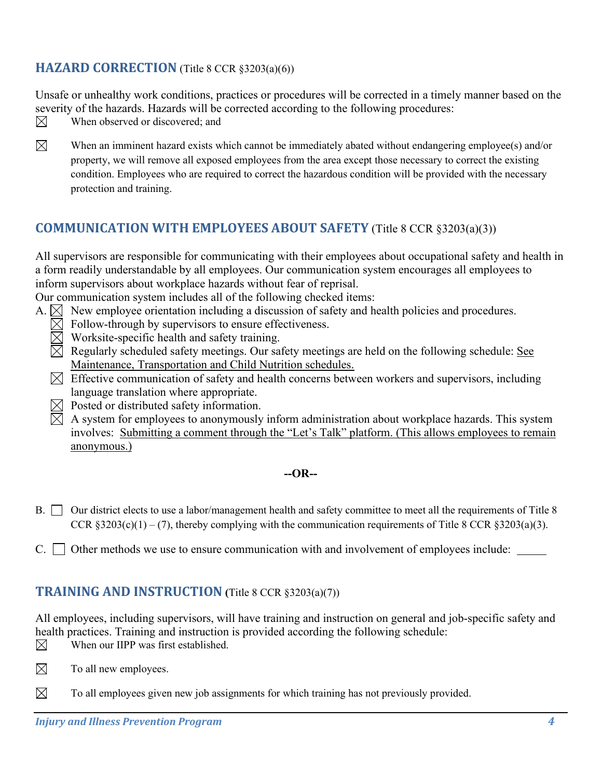# **HAZARD CORRECTION** (Title 8 CCR §3203(a)(6))

Unsafe or unhealthy work conditions, practices or procedures will be corrected in a timely manner based on the severity of the hazards. Hazards will be corrected according to the following procedures:

- $\boxtimes$ When observed or discovered; and
- 
- $\boxtimes$ When an imminent hazard exists which cannot be immediately abated without endangering employee(s) and/or property, we will remove all exposed employees from the area except those necessary to correct the existing condition. Employees who are required to correct the hazardous condition will be provided with the necessary protection and training.

# **COMMUNICATION WITH EMPLOYEES ABOUT SAFETY** (Title 8 CCR §3203(a)(3))

All supervisors are responsible for communicating with their employees about occupational safety and health in a form readily understandable by all employees. Our communication system encourages all employees to inform supervisors about workplace hazards without fear of reprisal.

Our communication system includes all of the following checked items:

- A.  $\boxtimes$  New employee orientation including a discussion of safety and health policies and procedures.
	- $\boxtimes$  Follow-through by supervisors to ensure effectiveness.
	- $\boxtimes$  Worksite-specific health and safety training.
	- $\boxtimes$  Regularly scheduled safety meetings. Our safety meetings are held on the following schedule: See Maintenance, Transportation and Child Nutrition schedules.
	- $\boxtimes$  Effective communication of safety and health concerns between workers and supervisors, including language translation where appropriate.
	- $\boxtimes$  Posted or distributed safety information.
	- $\boxtimes$  A system for employees to anonymously inform administration about workplace hazards. This system involves: Submitting a comment through the "Let's Talk" platform. (This allows employees to remain anonymous.)

#### **--OR--**

- B. Our district elects to use a labor/management health and safety committee to meet all the requirements of Title 8 CCR  $§3203(c)(1) - (7)$ , thereby complying with the communication requirements of Title 8 CCR  $§3203(a)(3)$ .
- $C.$   $\Box$  Other methods we use to ensure communication with and involvement of employees include:  $\Box$

### **TRAINING AND INSTRUCTION (**Title 8 CCR §3203(a)(7))

All employees, including supervisors, will have training and instruction on general and job-specific safety and health practices. Training and instruction is provided according the following schedule:  $\boxtimes$ When our IIPP was first established.

- $\boxtimes$ To all new employees.
- $\boxtimes$ To all employees given new job assignments for which training has not previously provided.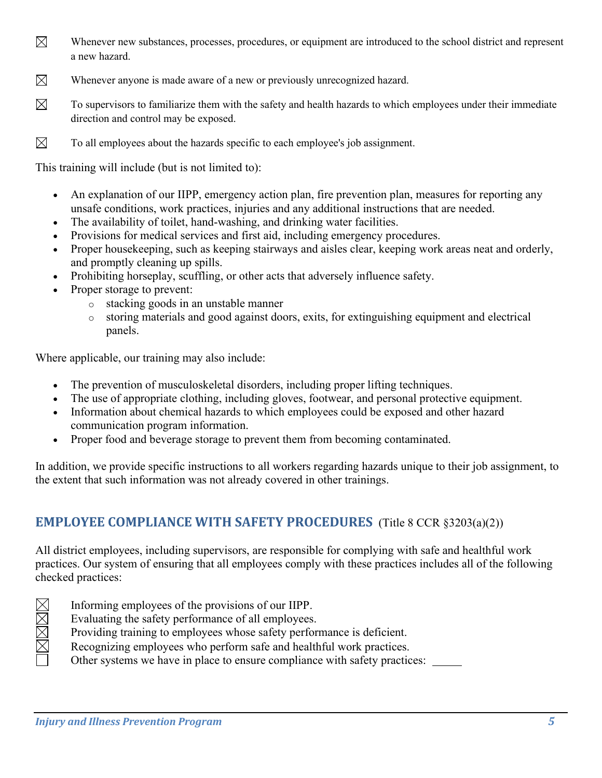- $\boxtimes$ Whenever new substances, processes, procedures, or equipment are introduced to the school district and represent a new hazard.
- $\boxtimes$ Whenever anyone is made aware of a new or previously unrecognized hazard.
- $\boxtimes$ To supervisors to familiarize them with the safety and health hazards to which employees under their immediate direction and control may be exposed.
- $\boxtimes$ To all employees about the hazards specific to each employee's job assignment.

This training will include (but is not limited to):

- An explanation of our IIPP, emergency action plan, fire prevention plan, measures for reporting any unsafe conditions, work practices, injuries and any additional instructions that are needed.
- The availability of toilet, hand-washing, and drinking water facilities.
- Provisions for medical services and first aid, including emergency procedures.
- Proper housekeeping, such as keeping stairways and aisles clear, keeping work areas neat and orderly, and promptly cleaning up spills.
- Prohibiting horseplay, scuffling, or other acts that adversely influence safety.
- Proper storage to prevent:
	- o stacking goods in an unstable manner
	- o storing materials and good against doors, exits, for extinguishing equipment and electrical panels.

Where applicable, our training may also include:

- The prevention of musculoskeletal disorders, including proper lifting techniques.
- The use of appropriate clothing, including gloves, footwear, and personal protective equipment.
- Information about chemical hazards to which employees could be exposed and other hazard communication program information.
- Proper food and beverage storage to prevent them from becoming contaminated.

In addition, we provide specific instructions to all workers regarding hazards unique to their job assignment, to the extent that such information was not already covered in other trainings.

# **EMPLOYEE COMPLIANCE WITH [SAFETY PROCEDURES](http://www.dir.ca.gov/dosh/dosh_publications/IIPP.html#10)** (Title 8 CCR §3203(a)(2))

All district employees, including supervisors, are responsible for complying with safe and healthful work practices. Our system of ensuring that all employees comply with these practices includes all of the following checked practices:

- Informing employees of the provisions of our IIPP.
- Evaluating the safety performance of all employees.
- Providing training to employees whose safety performance is deficient.
- Recognizing employees who perform safe and healthful work practices.
- Other systems we have in place to ensure compliance with safety practices: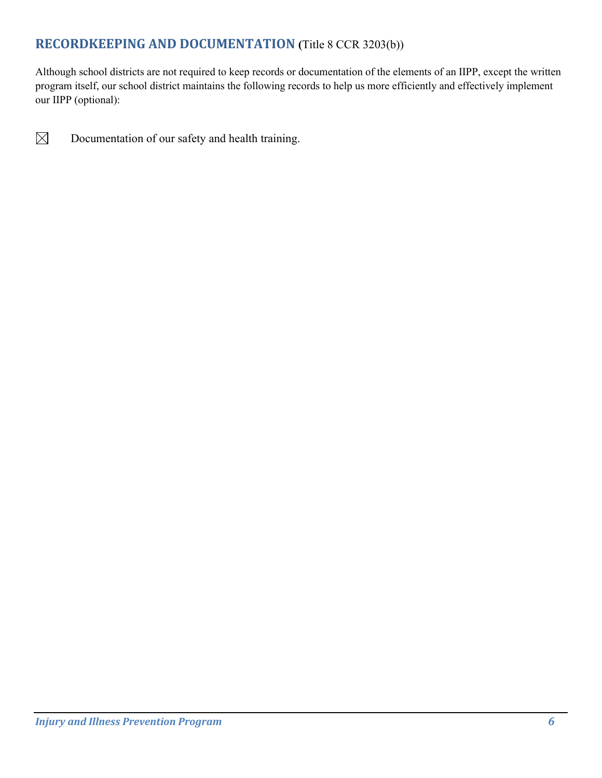# **RECORDKEEPING AND DOCUMENTATION (**Title 8 CCR 3203(b))

Although school districts are not required to keep records or documentation of the elements of an IIPP, except the written program itself, our school district maintains the following records to help us more efficiently and effectively implement our IIPP (optional):



Documentation of our safety and health training.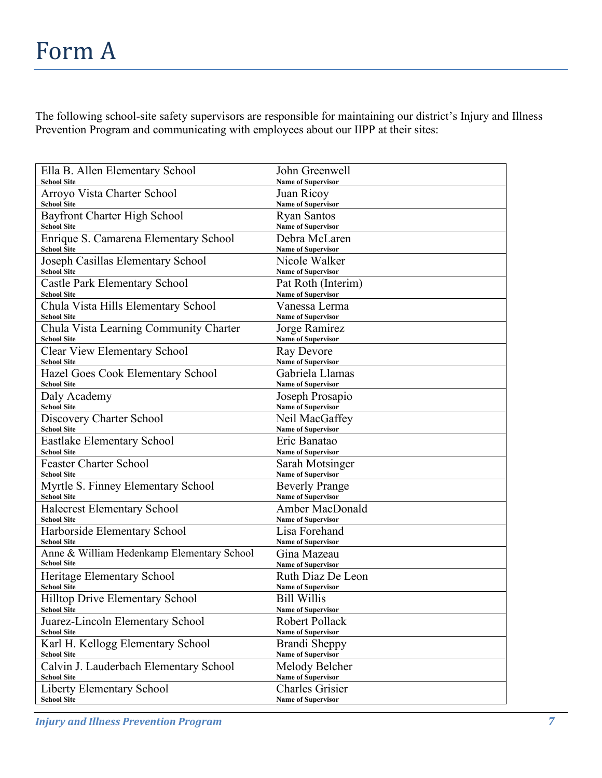The following school-site safety supervisors are responsible for maintaining our district's Injury and Illness Prevention Program and communicating with employees about our IIPP at their sites:

| Ella B. Allen Elementary School                         | John Greenwell                             |
|---------------------------------------------------------|--------------------------------------------|
| <b>School Site</b>                                      | <b>Name of Supervisor</b>                  |
| Arroyo Vista Charter School                             | Juan Ricoy                                 |
| <b>School Site</b>                                      | <b>Name of Supervisor</b>                  |
| Bayfront Charter High School                            | <b>Ryan Santos</b>                         |
| <b>School Site</b>                                      | <b>Name of Supervisor</b>                  |
| Enrique S. Camarena Elementary School                   | Debra McLaren                              |
| <b>School Site</b>                                      | <b>Name of Supervisor</b>                  |
| Joseph Casillas Elementary School<br><b>School Site</b> | Nicole Walker<br><b>Name of Supervisor</b> |
| <b>Castle Park Elementary School</b>                    | Pat Roth (Interim)                         |
| <b>School Site</b>                                      | <b>Name of Supervisor</b>                  |
| Chula Vista Hills Elementary School                     | Vanessa Lerma                              |
| <b>School Site</b>                                      | <b>Name of Supervisor</b>                  |
| Chula Vista Learning Community Charter                  | Jorge Ramirez                              |
| <b>School Site</b>                                      | <b>Name of Supervisor</b>                  |
| <b>Clear View Elementary School</b>                     | Ray Devore                                 |
| <b>School Site</b>                                      | <b>Name of Supervisor</b>                  |
| Hazel Goes Cook Elementary School                       | Gabriela Llamas                            |
| <b>School Site</b>                                      | <b>Name of Supervisor</b>                  |
| Daly Academy                                            | Joseph Prosapio                            |
| <b>School Site</b>                                      | <b>Name of Supervisor</b>                  |
| Discovery Charter School                                | Neil MacGaffey                             |
| <b>School Site</b>                                      | <b>Name of Supervisor</b>                  |
| Eastlake Elementary School                              | Eric Banatao                               |
| <b>School Site</b>                                      | <b>Name of Supervisor</b>                  |
| <b>Feaster Charter School</b>                           | Sarah Motsinger                            |
| <b>School Site</b>                                      | <b>Name of Supervisor</b>                  |
| Myrtle S. Finney Elementary School                      | <b>Beverly Prange</b>                      |
| <b>School Site</b>                                      | <b>Name of Supervisor</b>                  |
| <b>Halecrest Elementary School</b>                      | Amber MacDonald                            |
| <b>School Site</b>                                      | <b>Name of Supervisor</b>                  |
| Harborside Elementary School                            | Lisa Forehand                              |
| <b>School Site</b>                                      | <b>Name of Supervisor</b>                  |
| Anne & William Hedenkamp Elementary School              | Gina Mazeau                                |
| <b>School Site</b>                                      | <b>Name of Supervisor</b>                  |
| Heritage Elementary School                              | Ruth Diaz De Leon                          |
| <b>School Site</b>                                      | <b>Name of Supervisor</b>                  |
| Hilltop Drive Elementary School                         | <b>Bill Willis</b>                         |
| <b>School Site</b>                                      | <b>Name of Supervisor</b>                  |
| Juarez-Lincoln Elementary School                        | <b>Robert Pollack</b>                      |
| <b>School Site</b>                                      | <b>Name of Supervisor</b>                  |
| Karl H. Kellogg Elementary School                       | Brandi Sheppy                              |
| <b>School Site</b>                                      | <b>Name of Supervisor</b>                  |
| Calvin J. Lauderbach Elementary School                  | Melody Belcher                             |
| <b>School Site</b>                                      | <b>Name of Supervisor</b>                  |
| Liberty Elementary School                               | <b>Charles Grisier</b>                     |
| <b>School Site</b>                                      | <b>Name of Supervisor</b>                  |

*Injury and Illness Prevention Program 7*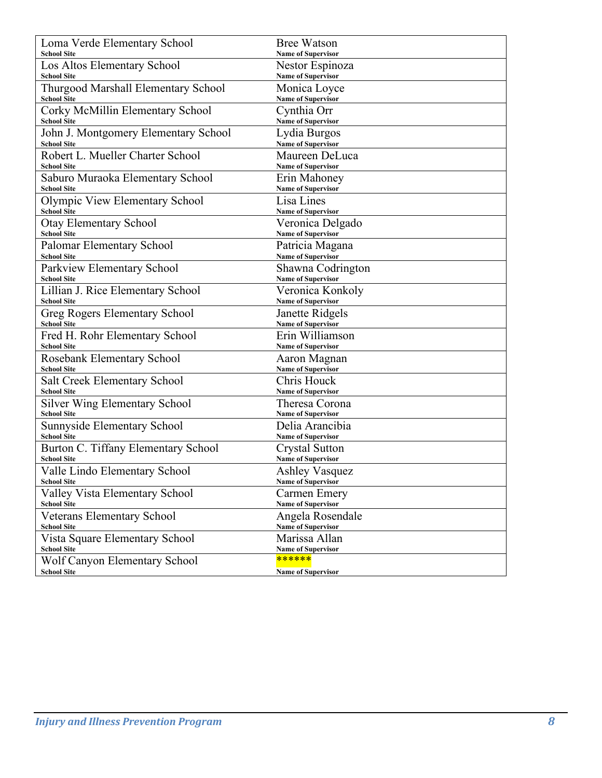| Loma Verde Elementary School         | <b>Bree Watson</b>        |
|--------------------------------------|---------------------------|
| <b>School Site</b>                   | <b>Name of Supervisor</b> |
| Los Altos Elementary School          | Nestor Espinoza           |
| <b>School Site</b>                   | <b>Name of Supervisor</b> |
| Thurgood Marshall Elementary School  | Monica Loyce              |
| <b>School Site</b>                   | <b>Name of Supervisor</b> |
| Corky McMillin Elementary School     | Cynthia Orr               |
| <b>School Site</b>                   | <b>Name of Supervisor</b> |
| John J. Montgomery Elementary School | Lydia Burgos              |
| <b>School Site</b>                   | Name of Supervisor        |
| Robert L. Mueller Charter School     | Maureen DeLuca            |
| <b>School Site</b>                   | <b>Name of Supervisor</b> |
| Saburo Muraoka Elementary School     | Erin Mahoney              |
| <b>School Site</b>                   | <b>Name of Supervisor</b> |
| Olympic View Elementary School       | Lisa Lines                |
| <b>School Site</b>                   | <b>Name of Supervisor</b> |
| <b>Otay Elementary School</b>        | Veronica Delgado          |
| <b>School Site</b>                   | <b>Name of Supervisor</b> |
| Palomar Elementary School            | Patricia Magana           |
| <b>School Site</b>                   | <b>Name of Supervisor</b> |
| Parkview Elementary School           | Shawna Codrington         |
| <b>School Site</b>                   | <b>Name of Supervisor</b> |
| Lillian J. Rice Elementary School    | Veronica Konkoly          |
| <b>School Site</b>                   | <b>Name of Supervisor</b> |
| <b>Greg Rogers Elementary School</b> | Janette Ridgels           |
| <b>School Site</b>                   | <b>Name of Supervisor</b> |
| Fred H. Rohr Elementary School       | Erin Williamson           |
| <b>School Site</b>                   | <b>Name of Supervisor</b> |
| Rosebank Elementary School           | Aaron Magnan              |
| <b>School Site</b>                   | Name of Supervisor        |
| <b>Salt Creek Elementary School</b>  | Chris Houck               |
| <b>School Site</b>                   | <b>Name of Supervisor</b> |
| <b>Silver Wing Elementary School</b> | Theresa Corona            |
| <b>School Site</b>                   | <b>Name of Supervisor</b> |
| Sunnyside Elementary School          | Delia Arancibia           |
| <b>School Site</b>                   | <b>Name of Supervisor</b> |
| Burton C. Tiffany Elementary School  | Crystal Sutton            |
| <b>School Site</b>                   | <b>Name of Supervisor</b> |
| Valle Lindo Elementary School        | <b>Ashley Vasquez</b>     |
| <b>School Site</b>                   | <b>Name of Supervisor</b> |
| Valley Vista Elementary School       | Carmen Emery              |
| <b>School Site</b>                   | <b>Name of Supervisor</b> |
| <b>Veterans Elementary School</b>    | Angela Rosendale          |
| <b>School Site</b>                   | <b>Name of Supervisor</b> |
| Vista Square Elementary School       | Marissa Allan             |
| <b>School Site</b>                   | <b>Name of Supervisor</b> |
| Wolf Canyon Elementary School        | ******                    |
| <b>School Site</b>                   | <b>Name of Supervisor</b> |
|                                      |                           |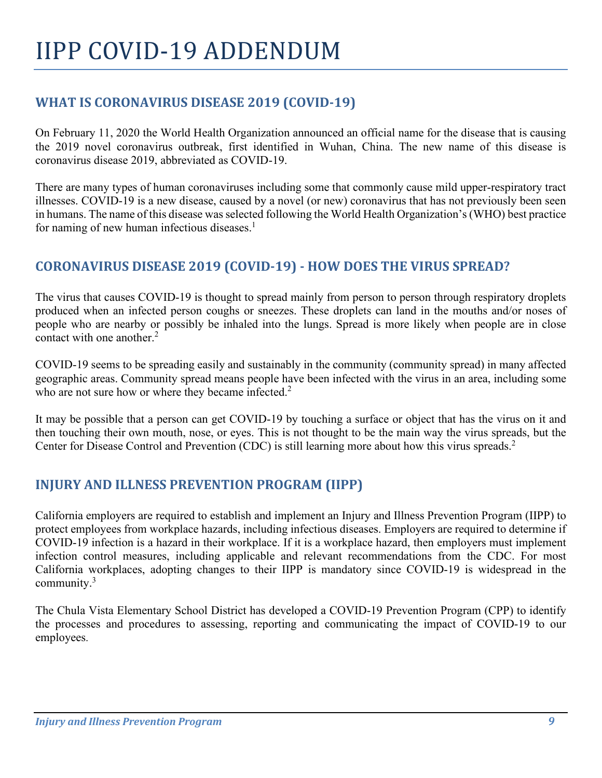# IIPP COVID-19 ADDENDUM

# **WHAT IS CORONAVIRUS DISEASE 2019 (COVID-19)**

On February 11, 2020 the World Health Organization announced an official name for the disease that is causing the 2019 novel coronavirus outbreak, first identified in Wuhan, China. The new name of this disease is coronavirus disease 2019, abbreviated as COVID-19.

There are many types of human coronaviruses including some that commonly cause mild upper-respiratory tract illnesses. COVID-19 is a new disease, caused by a novel (or new) coronavirus that has not previously been seen in humans. The name of this disease was selected following the World Health Organization's (WHO) best practice for naming of new human infectious diseases.<sup>1</sup>

# **CORONAVIRUS DISEASE 2019 (COVID-19) - HOW DOES THE VIRUS SPREAD?**

The virus that causes COVID-19 is thought to spread mainly from person to person through respiratory droplets produced when an infected person coughs or sneezes. These droplets can land in the mouths and/or noses of people who are nearby or possibly be inhaled into the lungs. Spread is more likely when people are in close contact with one another. 2

COVID-19 seems to be spreading easily and sustainably in the community (community spread) in many affected geographic areas. Community spread means people have been infected with the virus in an area, including some who are not sure how or where they became infected.<sup>2</sup>

It may be possible that a person can get COVID-19 by touching a surface or object that has the virus on it and then touching their own mouth, nose, or eyes. This is not thought to be the main way the virus spreads, but the Center for Disease Control and Prevention (CDC) is still learning more about how this virus spreads.<sup>2</sup>

# **INJURY AND ILLNESS PREVENTION PROGRAM (IIPP)**

California employers are required to establish and implement an Injury and Illness Prevention Program (IIPP) to protect employees from workplace hazards, including infectious diseases. Employers are required to determine if COVID-19 infection is a hazard in their workplace. If it is a workplace hazard, then employers must implement infection control measures, including applicable and relevant recommendations from the CDC. For most California workplaces, adopting changes to their IIPP is mandatory since COVID-19 is widespread in the community. $3$ 

The Chula Vista Elementary School District has developed a COVID-19 Prevention Program (CPP) to identify the processes and procedures to assessing, reporting and communicating the impact of COVID-19 to our employees.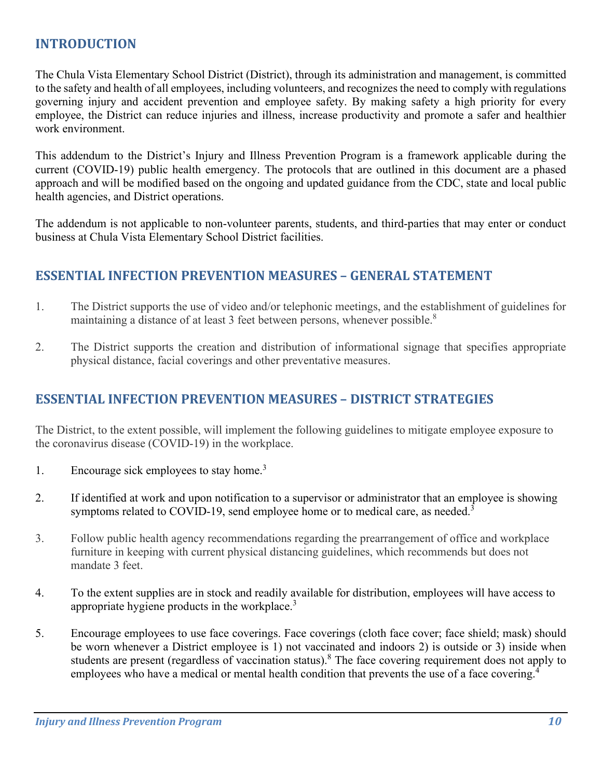## **INTRODUCTION**

The Chula Vista Elementary School District (District), through its administration and management, is committed to the safety and health of all employees, including volunteers, and recognizes the need to comply with regulations governing injury and accident prevention and employee safety. By making safety a high priority for every employee, the District can reduce injuries and illness, increase productivity and promote a safer and healthier work environment.

This addendum to the District's Injury and Illness Prevention Program is a framework applicable during the current (COVID-19) public health emergency. The protocols that are outlined in this document are a phased approach and will be modified based on the ongoing and updated guidance from the CDC, state and local public health agencies, and District operations.

The addendum is not applicable to non-volunteer parents, students, and third-parties that may enter or conduct business at Chula Vista Elementary School District facilities.

### **ESSENTIAL INFECTION PREVENTION MEASURES – GENERAL STATEMENT**

- 1. The District supports the use of video and/or telephonic meetings, and the establishment of guidelines for maintaining a distance of at least 3 feet between persons, whenever possible.<sup>8</sup>
- 2. The District supports the creation and distribution of informational signage that specifies appropriate physical distance, facial coverings and other preventative measures.

### **ESSENTIAL INFECTION PREVENTION MEASURES – DISTRICT STRATEGIES**

The District, to the extent possible, will implement the following guidelines to mitigate employee exposure to the coronavirus disease (COVID-19) in the workplace.

- 1. Encourage sick employees to stay home.<sup>3</sup>
- 2. If identified at work and upon notification to a supervisor or administrator that an employee is showing symptoms related to COVID-19, send employee home or to medical care, as needed.<sup>3</sup>
- 3. Follow public health agency recommendations regarding the prearrangement of office and workplace furniture in keeping with current physical distancing guidelines, which recommends but does not mandate 3 feet.
- 4. To the extent supplies are in stock and readily available for distribution, employees will have access to appropriate hygiene products in the workplace.3
- 5. Encourage employees to use face coverings. Face coverings (cloth face cover; face shield; mask) should be worn whenever a District employee is 1) not vaccinated and indoors 2) is outside or 3) inside when students are present (regardless of vaccination status).<sup>8</sup> The face covering requirement does not apply to employees who have a medical or mental health condition that prevents the use of a face covering.<sup>4</sup>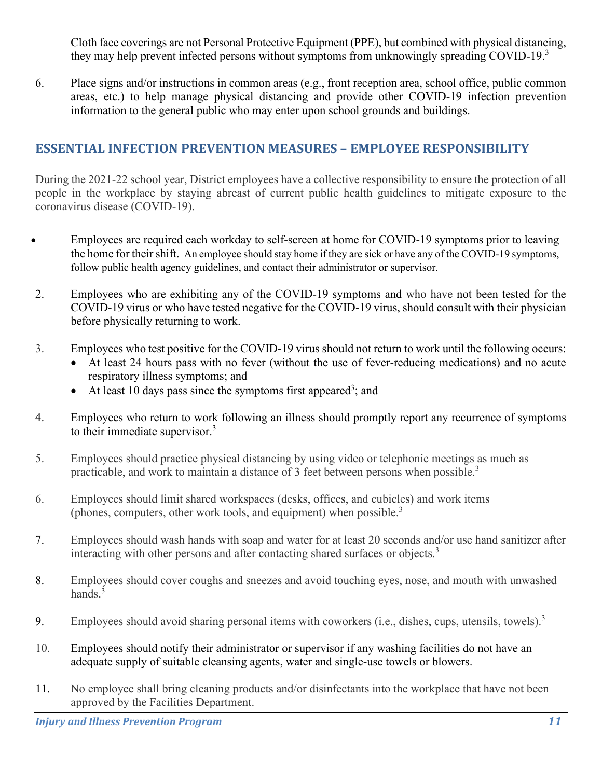Cloth face coverings are not Personal Protective Equipment (PPE), but combined with physical distancing, they may help prevent infected persons without symptoms from unknowingly spreading COVID-19. $3$ 

6. Place signs and/or instructions in common areas (e.g., front reception area, school office, public common areas, etc.) to help manage physical distancing and provide other COVID-19 infection prevention information to the general public who may enter upon school grounds and buildings.

# **ESSENTIAL INFECTION PREVENTION MEASURES – EMPLOYEE RESPONSIBILITY**

During the 2021-22 school year, District employees have a collective responsibility to ensure the protection of all people in the workplace by staying abreast of current public health guidelines to mitigate exposure to the coronavirus disease (COVID-19).

- Employees are required each workday to self-screen at home for COVID-19 symptoms prior to leaving the home for their shift. An employee should stay home if they are sick or have any of the COVID-19 symptoms, follow public health agency guidelines, and contact their administrator or supervisor.
- 2. Employees who are exhibiting any of the COVID-19 symptoms and who have not been tested for the COVID-19 virus or who have tested negative for the COVID-19 virus, should consult with their physician before physically returning to work.
- 3. Employees who test positive for the COVID-19 virus should not return to work until the following occurs:
	- At least 24 hours pass with no fever (without the use of fever-reducing medications) and no acute respiratory illness symptoms; and
	- At least 10 days pass since the symptoms first appeared<sup>3</sup>; and
- 4. Employees who return to work following an illness should promptly report any recurrence of symptoms to their immediate supervisor.<sup>3</sup>
- 5. Employees should practice physical distancing by using video or telephonic meetings as much as practicable, and work to maintain a distance of 3 feet between persons when possible.<sup>3</sup>
- 6. Employees should limit shared workspaces (desks, offices, and cubicles) and work items (phones, computers, other work tools, and equipment) when possible.<sup>3</sup>
- 7. Employees should wash hands with soap and water for at least 20 seconds and/or use hand sanitizer after interacting with other persons and after contacting shared surfaces or objects.<sup>3</sup>
- 8. Employees should cover coughs and sneezes and avoid touching eyes, nose, and mouth with unwashed hands. $3$
- 9. Employees should avoid sharing personal items with coworkers (i.e., dishes, cups, utensils, towels).<sup>3</sup>
- 10. Employees should notify their administrator or supervisor if any washing facilities do not have an adequate supply of suitable cleansing agents, water and single-use towels or blowers.
- 11. No employee shall bring cleaning products and/or disinfectants into the workplace that have not been approved by the Facilities Department.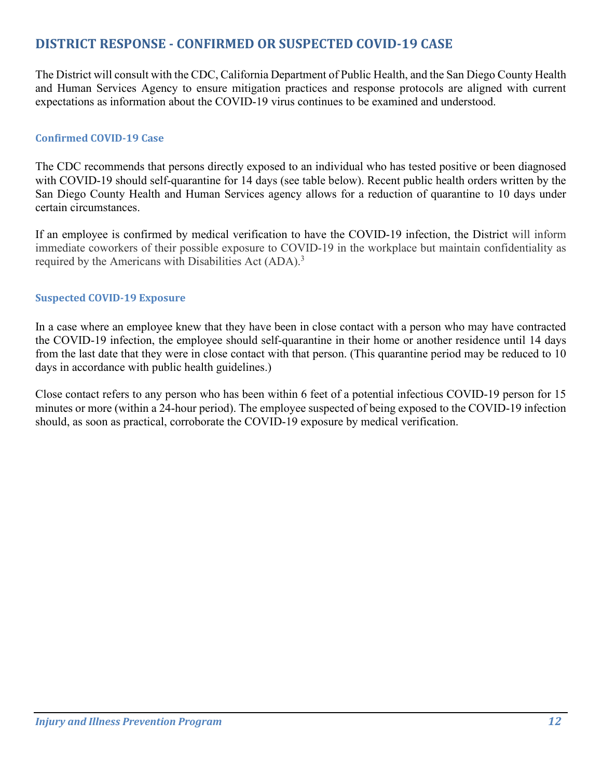# **DISTRICT RESPONSE - CONFIRMED OR SUSPECTED COVID-19 CASE**

The District will consult with the CDC, California Department of Public Health, and the San Diego County Health and Human Services Agency to ensure mitigation practices and response protocols are aligned with current expectations as information about the COVID-19 virus continues to be examined and understood.

#### **Confirmed COVID-19 Case**

The CDC recommends that persons directly exposed to an individual who has tested positive or been diagnosed with COVID-19 should self-quarantine for 14 days (see table below). Recent public health orders written by the San Diego County Health and Human Services agency allows for a reduction of quarantine to 10 days under certain circumstances.

If an employee is confirmed by medical verification to have the COVID-19 infection, the District will inform immediate coworkers of their possible exposure to COVID-19 in the workplace but maintain confidentiality as required by the Americans with Disabilities Act (ADA).<sup>3</sup>

#### **Suspected COVID-19 Exposure**

In a case where an employee knew that they have been in close contact with a person who may have contracted the COVID-19 infection, the employee should self-quarantine in their home or another residence until 14 days from the last date that they were in close contact with that person. (This quarantine period may be reduced to 10 days in accordance with public health guidelines.)

Close contact refers to any person who has been within 6 feet of a potential infectious COVID-19 person for 15 minutes or more (within a 24-hour period). The employee suspected of being exposed to the COVID-19 infection should, as soon as practical, corroborate the COVID-19 exposure by medical verification.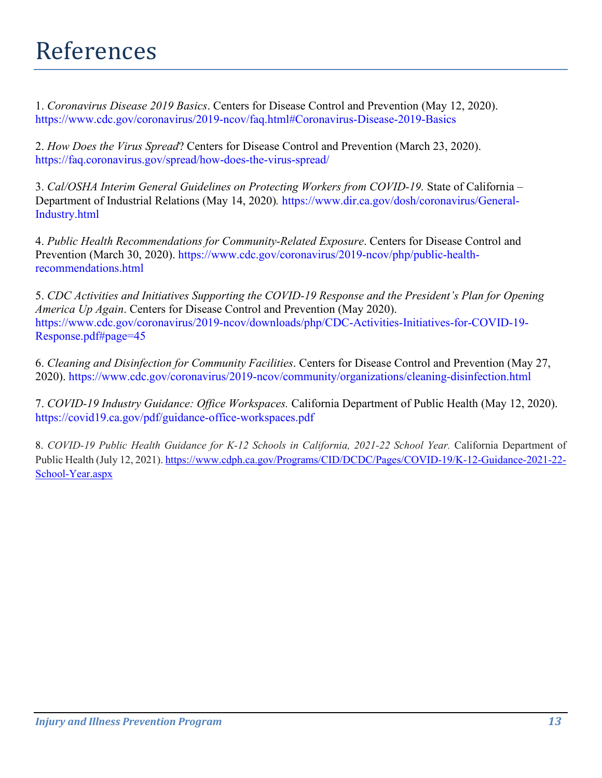# References

1. *Coronavirus Disease 2019 Basics*. Centers for Disease Control and Prevention (May 12, 2020). <https://www.cdc.gov/coronavirus/2019-ncov/faq.html#Coronavirus-Disease-2019-Basics>

2. *How Does the Virus Spread*? Centers for Disease Control and Prevention (March 23, 2020). <https://faq.coronavirus.gov/spread/how-does-the-virus-spread/>

3. *Cal/OSHA Interim General Guidelines on Protecting Workers from COVID-19.* State of California – Department of Industrial Relations (May 14, 2020)*.* [https://www.dir.ca.gov/dosh/coronavirus/General-](https://www.dir.ca.gov/dosh/coronavirus/General-Industry.html)[Industry.html](https://www.dir.ca.gov/dosh/coronavirus/General-Industry.html)

4. *Public Health Recommendations for Community-Related Exposure*. Centers for Disease Control and Prevention (March 30, 2020). [https://www.cdc.gov/coronavirus/2019-ncov/php/public-health](https://www.cdc.gov/coronavirus/2019-ncov/php/public-health-recommendations.html)[recommendations.html](https://www.cdc.gov/coronavirus/2019-ncov/php/public-health-recommendations.html)

5. *CDC Activities and Initiatives Supporting the COVID-19 Response and the President's Plan for Opening America Up Again*. Centers for Disease Control and Prevention (May 2020). [https://www.cdc.gov/coronavirus/2019-ncov/downloads/php/CDC-Activities-Initiatives-for-COVID-19-](https://www.cdc.gov/coronavirus/2019-ncov/downloads/php/CDC-Activities-Initiatives-for-COVID-19-Response.pdf#page=45) [Response.pdf#page=45](https://www.cdc.gov/coronavirus/2019-ncov/downloads/php/CDC-Activities-Initiatives-for-COVID-19-Response.pdf#page=45)

6. *Cleaning and Disinfection for Community Facilities*. Centers for Disease Control and Prevention (May 27, 2020).<https://www.cdc.gov/coronavirus/2019-ncov/community/organizations/cleaning-disinfection.html>

7. *COVID-19 Industry Guidance: Office Workspaces.* California Department of Public Health (May 12, 2020). <https://covid19.ca.gov/pdf/guidance-office-workspaces.pdf>

8. *COVID-19 Public Health Guidance for K-12 Schools in California, 2021-22 School Year.* California Department of Public Health (July 12, 2021)[. https://www.cdph.ca.gov/Programs/CID/DCDC/Pages/COVID-19/K-12-Guidance-2021-22-](https://www.cdph.ca.gov/Programs/CID/DCDC/Pages/COVID-19/K-12-Guidance-2021-22-School-Year.aspx) [School-Year.aspx](https://www.cdph.ca.gov/Programs/CID/DCDC/Pages/COVID-19/K-12-Guidance-2021-22-School-Year.aspx)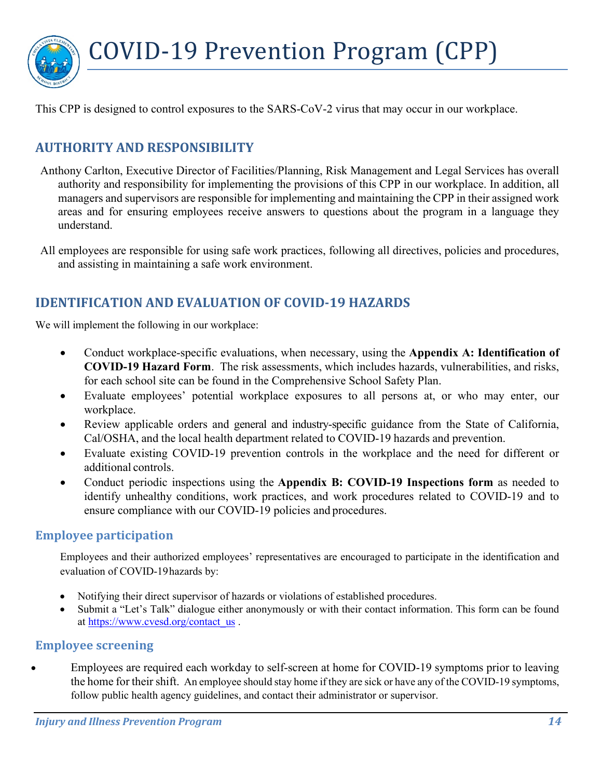

This CPP is designed to control exposures to the SARS-CoV-2 virus that may occur in our workplace.

# **AUTHORITY AND RESPONSIBILITY**

- Anthony Carlton, Executive Director of Facilities/Planning, Risk Management and Legal Services has overall authority and responsibility for implementing the provisions of this CPP in our workplace. In addition, all managers and supervisors are responsible for implementing and maintaining the CPP in their assigned work areas and for ensuring employees receive answers to questions about the program in a language they understand.
- All employees are responsible for using safe work practices, following all directives, policies and procedures, and assisting in maintaining a safe work environment.

## **IDENTIFICATION AND EVALUATION OF COVID-19 HAZARDS**

We will implement the following in our workplace:

- Conduct workplace-specific evaluations, when necessary, using the **Appendix A: Identification of COVID-19 Hazard Form**. The risk assessments, which includes hazards, vulnerabilities, and risks, for each school site can be found in the Comprehensive School Safety Plan.
- Evaluate employees' potential workplace exposures to all persons at, or who may enter, our workplace.
- Review applicable orders and general and industry-specific guidance from the State of California, Cal/OSHA, and the local health department related to COVID-19 hazards and prevention.
- Evaluate existing COVID-19 prevention controls in the workplace and the need for different or additional controls.
- Conduct periodic inspections using the **Appendix B: COVID-19 Inspections form** as needed to identify unhealthy conditions, work practices, and work procedures related to COVID-19 and to ensure compliance with our COVID-19 policies and procedures.

#### **Employee participation**

Employees and their authorized employees' representatives are encouraged to participate in the identification and evaluation of COVID-19hazards by:

- Notifying their direct supervisor of hazards or violations of established procedures.
- Submit a "Let's Talk" dialogue either anonymously or with their contact information. This form can be found at [https://www.cvesd.org/contact\\_us](https://www.cvesd.org/contact_us) .

#### **Employee screening**

Employees are required each workday to self-screen at home for COVID-19 symptoms prior to leaving the home for their shift. An employee should stay home if they are sick or have any of the COVID-19 symptoms, follow public health agency guidelines, and contact their administrator or supervisor.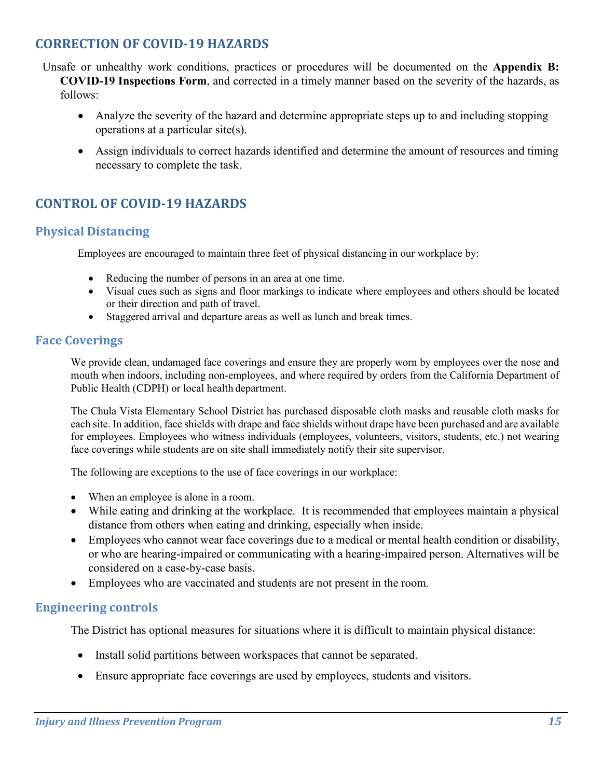# **CORRECTION OF COVID-19 HAZARDS**

Unsafe or unhealthy work conditions, practices or procedures will be documented on the **Appendix B: COVID-19 Inspections Form**, and corrected in a timely manner based on the severity of the hazards, as follows:

- Analyze the severity of the hazard and determine appropriate steps up to and including stopping operations at a particular site(s).
- Assign individuals to correct hazards identified and determine the amount of resources and timing necessary to complete the task.

# **CONTROL OF COVID-19 HAZARDS**

#### **Physical Distancing**

Employees are encouraged to maintain three feet of physical distancing in our workplace by:

- Reducing the number of persons in an area at one time.
- Visual cues such as signs and floor markings to indicate where employees and others should be located or their direction and path of travel.
- Staggered arrival and departure areas as well as lunch and break times.

#### **Face Coverings**

We provide clean, undamaged face coverings and ensure they are properly worn by employees over the nose and mouth when indoors, including non-employees, and where required by orders from the California Department of Public Health (CDPH) or local health department.

The Chula Vista Elementary School District has purchased disposable cloth masks and reusable cloth masks for each site. In addition, face shields with drape and face shields without drape have been purchased and are available for employees. Employees who witness individuals (employees, volunteers, visitors, students, etc.) not wearing face coverings while students are on site shall immediately notify their site supervisor.

The following are exceptions to the use of face coverings in our workplace:

- When an employee is alone in a room.
- While eating and drinking at the workplace. It is recommended that employees maintain a physical distance from others when eating and drinking, especially when inside.
- Employees who cannot wear face coverings due to a medical or mental health condition or disability, or who are hearing-impaired or communicating with a hearing-impaired person. Alternatives will be considered on a case-by-case basis.
- Employees who are vaccinated and students are not present in the room.

#### **Engineering controls**

The District has optional measures for situations where it is difficult to maintain physical distance:

- Install solid partitions between workspaces that cannot be separated.
- Ensure appropriate face coverings are used by employees, students and visitors.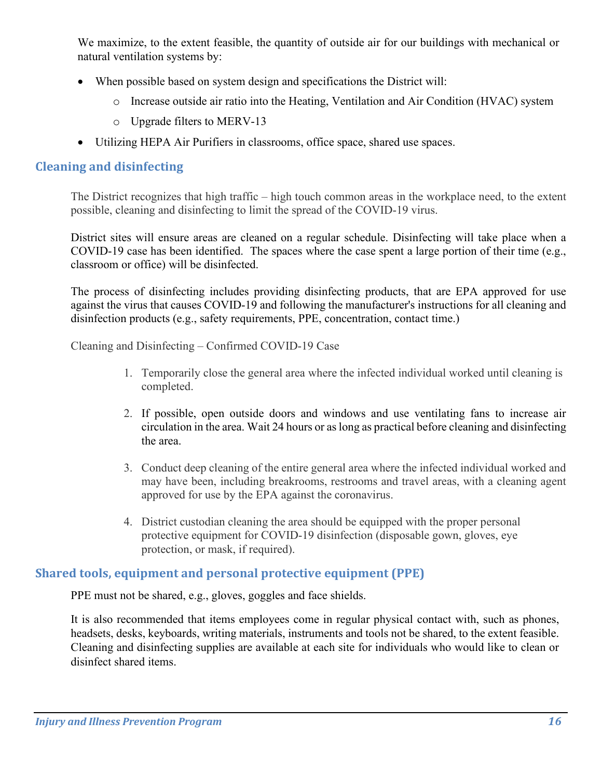We maximize, to the extent feasible, the quantity of outside air for our buildings with mechanical or natural ventilation systems by:

- When possible based on system design and specifications the District will:
	- o Increase outside air ratio into the Heating, Ventilation and Air Condition (HVAC) system
	- o Upgrade filters to MERV-13
- Utilizing HEPA Air Purifiers in classrooms, office space, shared use spaces.

#### **Cleaning and disinfecting**

The District recognizes that high traffic – high touch common areas in the workplace need, to the extent possible, cleaning and disinfecting to limit the spread of the COVID-19 virus.

District sites will ensure areas are cleaned on a regular schedule. Disinfecting will take place when a COVID-19 case has been identified. The spaces where the case spent a large portion of their time (e.g., classroom or office) will be disinfected.

The process of disinfecting includes providing disinfecting products, that are EPA approved for use against the virus that causes COVID-19 and following the manufacturer's instructions for all cleaning and disinfection products (e.g., safety requirements, PPE, concentration, contact time.)

Cleaning and Disinfecting – Confirmed COVID-19 Case

- 1. Temporarily close the general area where the infected individual worked until cleaning is completed.
- 2. If possible, open outside doors and windows and use ventilating fans to increase air circulation in the area. Wait 24 hours or as long as practical before cleaning and disinfecting the area.
- 3. Conduct deep cleaning of the entire general area where the infected individual worked and may have been, including breakrooms, restrooms and travel areas, with a cleaning agent approved for use by the EPA against the coronavirus.
- 4. District custodian cleaning the area should be equipped with the proper personal protective equipment for COVID-19 disinfection (disposable gown, gloves, eye protection, or mask, if required).

#### **Shared tools, equipment and personal protective equipment (PPE)**

PPE must not be shared, e.g., gloves, goggles and face shields.

It is also recommended that items employees come in regular physical contact with, such as phones, headsets, desks, keyboards, writing materials, instruments and tools not be shared, to the extent feasible. Cleaning and disinfecting supplies are available at each site for individuals who would like to clean or disinfect shared items.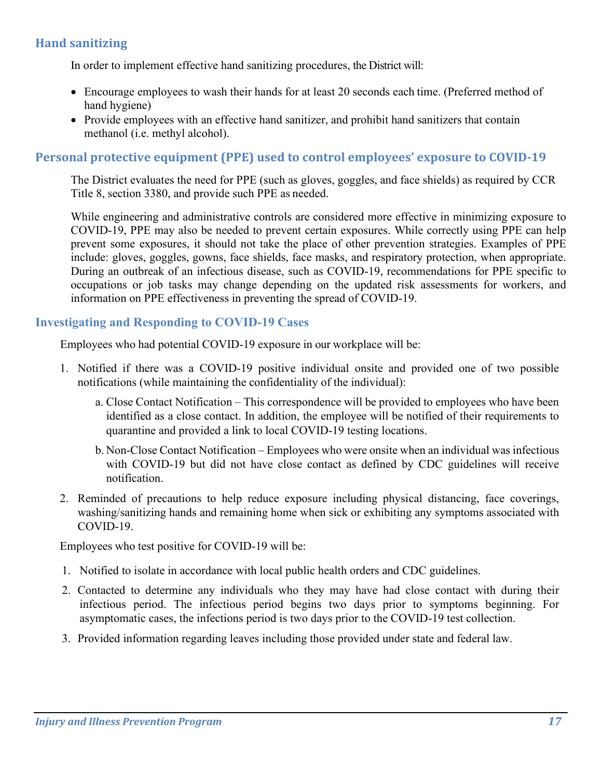## **Hand sanitizing**

In order to implement effective hand sanitizing procedures, the District will:

- Encourage employees to wash their hands for at least 20 seconds each time. (Preferred method of hand hygiene)
- Provide employees with an effective hand sanitizer, and prohibit hand sanitizers that contain methanol (i.e. methyl alcohol).

#### **Personal protective equipment (PPE) used to control employees' exposure to COVID-19**

The District evaluates the need for PPE (such as gloves, goggles, and face shields) as required by CCR Title 8, section 3380, and provide such PPE as needed.

While engineering and administrative controls are considered more effective in minimizing exposure to COVID-19, PPE may also be needed to prevent certain exposures. While correctly using PPE can help prevent some exposures, it should not take the place of other prevention strategies. Examples of PPE include: gloves, goggles, gowns, face shields, face masks, and respiratory protection, when appropriate. During an outbreak of an infectious disease, such as COVID-19, recommendations for PPE specific to occupations or job tasks may change depending on the updated risk assessments for workers, and information on PPE effectiveness in preventing the spread of COVID-19.

#### **Investigating and Responding to COVID-19 Cases**

Employees who had potential COVID-19 exposure in our workplace will be:

- 1. Notified if there was a COVID-19 positive individual onsite and provided one of two possible notifications (while maintaining the confidentiality of the individual):
	- a. Close Contact Notification This correspondence will be provided to employees who have been identified as a close contact. In addition, the employee will be notified of their requirements to quarantine and provided a link to local COVID-19 testing locations.
	- b. Non-Close Contact Notification Employees who were onsite when an individual was infectious with COVID-19 but did not have close contact as defined by CDC guidelines will receive notification.
- 2. Reminded of precautions to help reduce exposure including physical distancing, face coverings, washing/sanitizing hands and remaining home when sick or exhibiting any symptoms associated with COVID-19.

Employees who test positive for COVID-19 will be:

- 1. Notified to isolate in accordance with local public health orders and CDC guidelines.
- 2. Contacted to determine any individuals who they may have had close contact with during their infectious period. The infectious period begins two days prior to symptoms beginning. For asymptomatic cases, the infections period is two days prior to the COVID-19 test collection.
- 3. Provided information regarding leaves including those provided under state and federal law.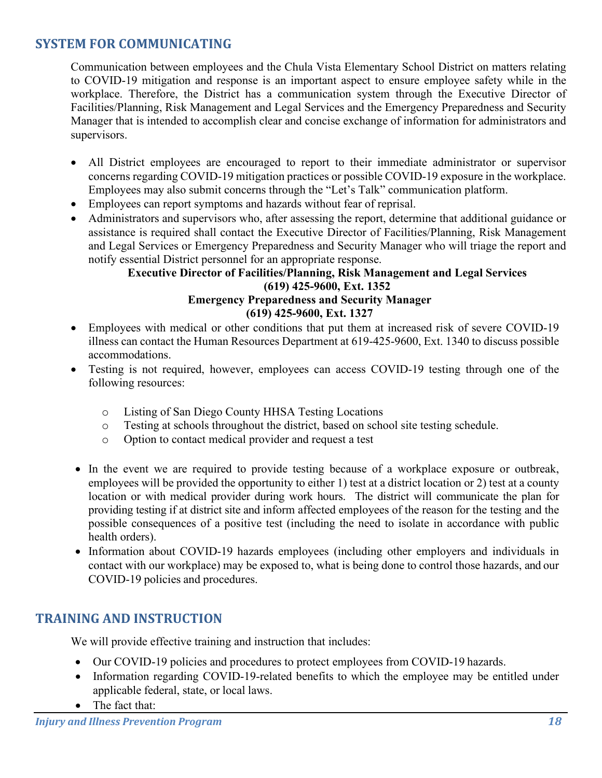# **SYSTEM FOR COMMUNICATING**

Communication between employees and the Chula Vista Elementary School District on matters relating to COVID-19 mitigation and response is an important aspect to ensure employee safety while in the workplace. Therefore, the District has a communication system through the Executive Director of Facilities/Planning, Risk Management and Legal Services and the Emergency Preparedness and Security Manager that is intended to accomplish clear and concise exchange of information for administrators and supervisors.

- All District employees are encouraged to report to their immediate administrator or supervisor concerns regarding COVID-19 mitigation practices or possible COVID-19 exposure in the workplace. Employees may also submit concerns through the "Let's Talk" communication platform.
- Employees can report symptoms and hazards without fear of reprisal.
- Administrators and supervisors who, after assessing the report, determine that additional guidance or assistance is required shall contact the Executive Director of Facilities/Planning, Risk Management and Legal Services or Emergency Preparedness and Security Manager who will triage the report and notify essential District personnel for an appropriate response.

#### **Executive Director of Facilities/Planning, Risk Management and Legal Services (619) 425-9600, Ext. 1352 Emergency Preparedness and Security Manager (619) 425-9600, Ext. 1327**

- Employees with medical or other conditions that put them at increased risk of severe COVID-19 illness can contact the Human Resources Department at 619-425-9600, Ext. 1340 to discuss possible accommodations.
- Testing is not required, however, employees can access COVID-19 testing through one of the following resources:
	- o Listing of San Diego County HHSA Testing Locations
	- o Testing at schools throughout the district, based on school site testing schedule.
	- o Option to contact medical provider and request a test
- In the event we are required to provide testing because of a workplace exposure or outbreak, employees will be provided the opportunity to either 1) test at a district location or 2) test at a county location or with medical provider during work hours. The district will communicate the plan for providing testing if at district site and inform affected employees of the reason for the testing and the possible consequences of a positive test (including the need to isolate in accordance with public health orders).
- Information about COVID-19 hazards employees (including other employers and individuals in contact with our workplace) may be exposed to, what is being done to control those hazards, and our COVID-19 policies and procedures.

#### **TRAINING AND INSTRUCTION**

We will provide effective training and instruction that includes:

- Our COVID-19 policies and procedures to protect employees from COVID-19 hazards.
- Information regarding COVID-19-related benefits to which the employee may be entitled under applicable federal, state, or local laws.
- The fact that: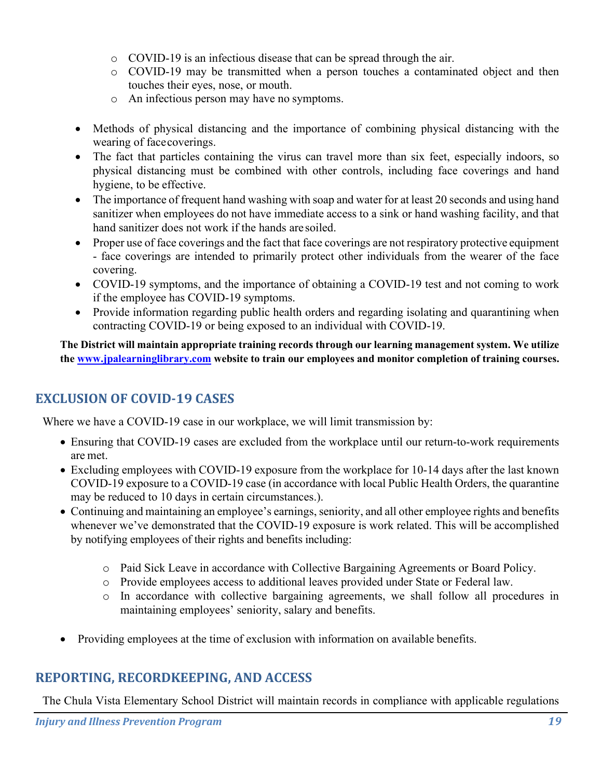- o COVID-19 is an infectious disease that can be spread through the air.
- o COVID-19 may be transmitted when a person touches a contaminated object and then touches their eyes, nose, or mouth.
- o An infectious person may have no symptoms.
- Methods of physical distancing and the importance of combining physical distancing with the wearing of facecoverings.
- The fact that particles containing the virus can travel more than six feet, especially indoors, so physical distancing must be combined with other controls, including face coverings and hand hygiene, to be effective.
- The importance of frequent hand washing with soap and water for at least 20 seconds and using hand sanitizer when employees do not have immediate access to a sink or hand washing facility, and that hand sanitizer does not work if the hands are soiled.
- Proper use of face coverings and the fact that face coverings are not respiratory protective equipment - face coverings are intended to primarily protect other individuals from the wearer of the face covering.
- COVID-19 symptoms, and the importance of obtaining a COVID-19 test and not coming to work if the employee has COVID-19 symptoms.
- Provide information regarding public health orders and regarding isolating and quarantining when contracting COVID-19 or being exposed to an individual with COVID-19.

**The District will maintain appropriate training records through our learning management system. We utilize the [www.jpalearninglibrary.com](http://www.jpalearninglibrary.com/) website to train our employees and monitor completion of training courses.**

# **EXCLUSION OF COVID-19 CASES**

Where we have a COVID-19 case in our workplace, we will limit transmission by:

- Ensuring that COVID-19 cases are excluded from the workplace until our return-to-work requirements are met.
- Excluding employees with COVID-19 exposure from the workplace for 10-14 days after the last known COVID-19 exposure to a COVID-19 case (in accordance with local Public Health Orders, the quarantine may be reduced to 10 days in certain circumstances.).
- Continuing and maintaining an employee's earnings, seniority, and all other employee rights and benefits whenever we've demonstrated that the COVID-19 exposure is work related. This will be accomplished by notifying employees of their rights and benefits including:
	- o Paid Sick Leave in accordance with Collective Bargaining Agreements or Board Policy.
	- o Provide employees access to additional leaves provided under State or Federal law.
	- o In accordance with collective bargaining agreements, we shall follow all procedures in maintaining employees' seniority, salary and benefits.
- Providing employees at the time of exclusion with information on available benefits.

### **REPORTING, RECORDKEEPING, AND ACCESS**

The Chula Vista Elementary School District will maintain records in compliance with applicable regulations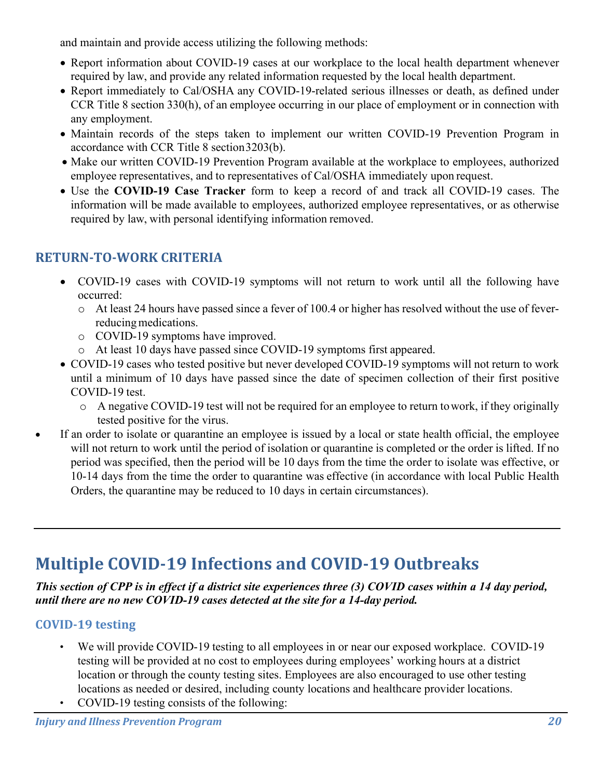and maintain and provide access utilizing the following methods:

- Report information about COVID-19 cases at our workplace to the local health department whenever required by law, and provide any related information requested by the local health department.
- Report immediately to Cal/OSHA any COVID-19-related serious illnesses or death, as defined under CCR Title 8 section 330(h), of an employee occurring in our place of employment or in connection with any employment.
- Maintain records of the steps taken to implement our written COVID-19 Prevention Program in accordance with CCR Title 8 section3203(b).
- Make our written COVID-19 Prevention Program available at the workplace to employees, authorized employee representatives, and to representatives of Cal/OSHA immediately upon request.
- Use the **COVID-19 Case Tracker** form to keep a record of and track all COVID-19 cases. The information will be made available to employees, authorized employee representatives, or as otherwise required by law, with personal identifying information removed.

# **RETURN-TO-WORK CRITERIA**

- COVID-19 cases with COVID-19 symptoms will not return to work until all the following have occurred:
	- o At least 24 hours have passed since a fever of 100.4 or higher has resolved without the use of feverreducing medications.
	- o COVID-19 symptoms have improved.
	- o At least 10 days have passed since COVID-19 symptoms first appeared.
- COVID-19 cases who tested positive but never developed COVID-19 symptoms will not return to work until a minimum of 10 days have passed since the date of specimen collection of their first positive COVID-19 test.
	- o A negative COVID-19 test will not be required for an employee to return towork, if they originally tested positive for the virus.
- If an order to isolate or quarantine an employee is issued by a local or state health official, the employee will not return to work until the period of isolation or quarantine is completed or the order is lifted. If no period was specified, then the period will be 10 days from the time the order to isolate was effective, or 10-14 days from the time the order to quarantine was effective (in accordance with local Public Health Orders, the quarantine may be reduced to 10 days in certain circumstances).

# **Multiple COVID-19 Infections and COVID-19 Outbreaks**

*This section of CPP is in effect if a district site experiences three (3) COVID cases within a 14 day period, until there are no new COVID-19 cases detected at the site for a 14-day period.*

# **COVID-19 testing**

- We will provide COVID-19 testing to all employees in or near our exposed workplace. COVID-19 testing will be provided at no cost to employees during employees' working hours at a district location or through the county testing sites. Employees are also encouraged to use other testing locations as needed or desired, including county locations and healthcare provider locations.
- COVID-19 testing consists of the following: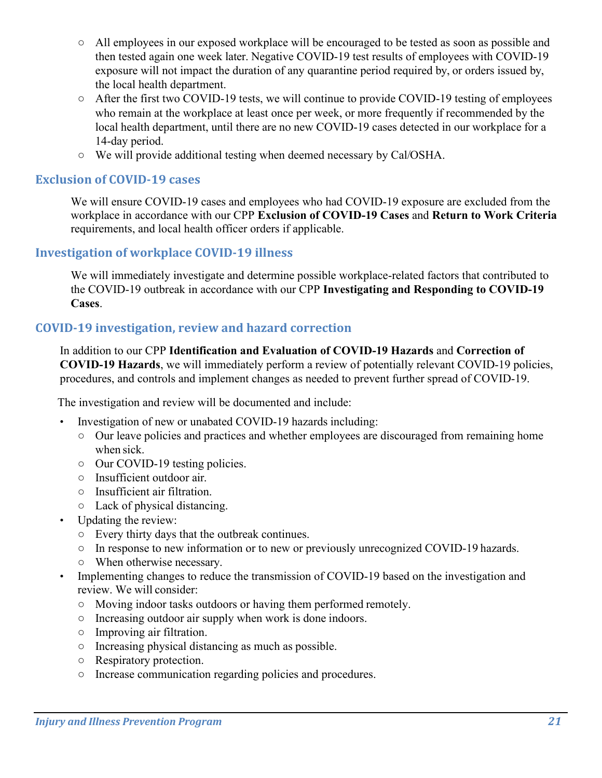- All employees in our exposed workplace will be encouraged to be tested as soon as possible and then tested again one week later. Negative COVID-19 test results of employees with COVID-19 exposure will not impact the duration of any quarantine period required by, or orders issued by, the local health department.
- After the first two COVID-19 tests, we will continue to provide COVID-19 testing of employees who remain at the workplace at least once per week, or more frequently if recommended by the local health department, until there are no new COVID-19 cases detected in our workplace for a 14-day period.
- We will provide additional testing when deemed necessary by Cal/OSHA.

#### **Exclusion of COVID-19 cases**

We will ensure COVID-19 cases and employees who had COVID-19 exposure are excluded from the workplace in accordance with our CPP **Exclusion of COVID-19 Cases** and **Return to Work Criteria**  requirements, and local health officer orders if applicable.

#### **Investigation of workplace COVID-19 illness**

We will immediately investigate and determine possible workplace-related factors that contributed to the COVID-19 outbreak in accordance with our CPP **Investigating and Responding to COVID-19 Cases**.

#### **COVID-19 investigation, review and hazard correction**

In addition to our CPP **Identification and Evaluation of COVID-19 Hazards** and **Correction of COVID-19 Hazards**, we will immediately perform a review of potentially relevant COVID-19 policies, procedures, and controls and implement changes as needed to prevent further spread of COVID-19.

The investigation and review will be documented and include:

- Investigation of new or unabated COVID-19 hazards including:
	- Our leave policies and practices and whether employees are discouraged from remaining home when sick.
	- Our COVID-19 testing policies.
	- Insufficient outdoor air.
	- Insufficient air filtration.
	- Lack of physical distancing.
- Updating the review:
	- Every thirty days that the outbreak continues.
	- In response to new information or to new or previously unrecognized COVID-19 hazards.
	- When otherwise necessary.
- Implementing changes to reduce the transmission of COVID-19 based on the investigation and review. We will consider:
	- Moving indoor tasks outdoors or having them performed remotely.
	- Increasing outdoor air supply when work is done indoors.
	- Improving air filtration.
	- Increasing physical distancing as much as possible.
	- Respiratory protection.
	- Increase communication regarding policies and procedures.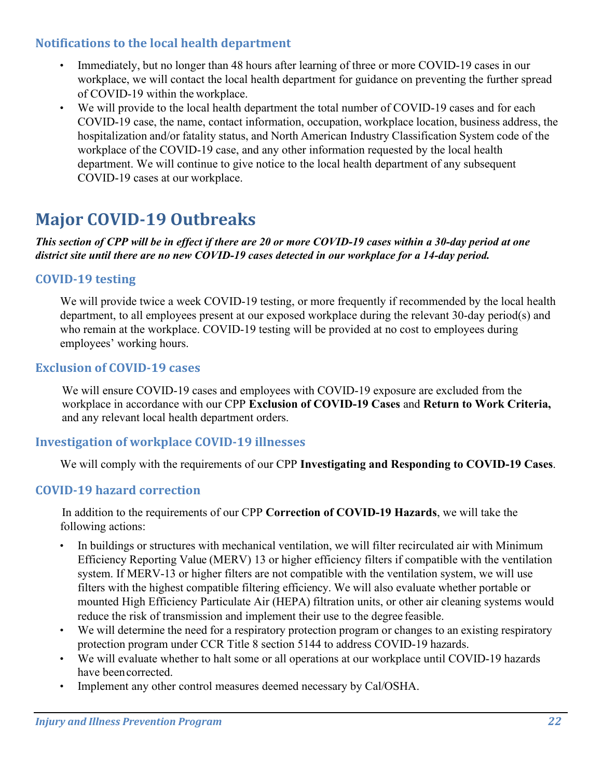#### **Notifications to the local health department**

- Immediately, but no longer than 48 hours after learning of three or more COVID-19 cases in our workplace, we will contact the local health department for guidance on preventing the further spread of COVID-19 within the workplace.
- We will provide to the local health department the total number of COVID-19 cases and for each COVID-19 case, the name, contact information, occupation, workplace location, business address, the hospitalization and/or fatality status, and North American Industry Classification System code of the workplace of the COVID-19 case, and any other information requested by the local health department. We will continue to give notice to the local health department of any subsequent COVID-19 cases at our workplace.

# **Major COVID-19 Outbreaks**

#### *This section of CPP will be in effect if there are 20 or more COVID-19 cases within a 30-day period at one district site until there are no new COVID-19 cases detected in our workplace for a 14-day period.*

#### **COVID-19 testing**

We will provide twice a week COVID-19 testing, or more frequently if recommended by the local health department, to all employees present at our exposed workplace during the relevant 30-day period(s) and who remain at the workplace. COVID-19 testing will be provided at no cost to employees during employees' working hours.

#### **Exclusion of COVID-19 cases**

We will ensure COVID-19 cases and employees with COVID-19 exposure are excluded from the workplace in accordance with our CPP **Exclusion of COVID-19 Cases** and **Return to Work Criteria,**  and any relevant local health department orders.

#### **Investigation of workplace COVID-19 illnesses**

We will comply with the requirements of our CPP **Investigating and Responding to COVID-19 Cases**.

#### **COVID-19 hazard correction**

In addition to the requirements of our CPP **Correction of COVID-19 Hazards**, we will take the following actions:

- In buildings or structures with mechanical ventilation, we will filter recirculated air with Minimum Efficiency Reporting Value (MERV) 13 or higher efficiency filters if compatible with the ventilation system. If MERV-13 or higher filters are not compatible with the ventilation system, we will use filters with the highest compatible filtering efficiency. We will also evaluate whether portable or mounted High Efficiency Particulate Air (HEPA) filtration units, or other air cleaning systems would reduce the risk of transmission and implement their use to the degree feasible.
- We will determine the need for a respiratory protection program or changes to an existing respiratory protection program under CCR Title 8 section 5144 to address COVID-19 hazards.
- We will evaluate whether to halt some or all operations at our workplace until COVID-19 hazards have beencorrected.
- Implement any other control measures deemed necessary by Cal/OSHA.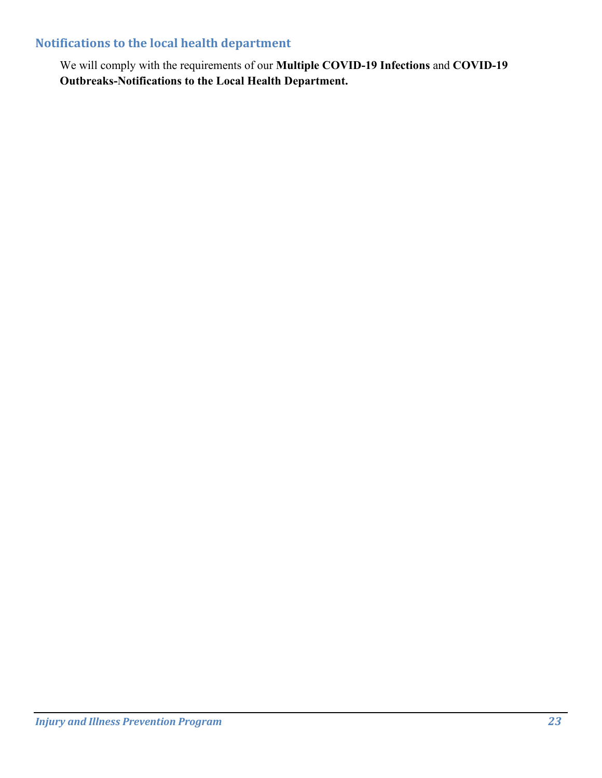## **Notifications to the local health department**

We will comply with the requirements of our **Multiple COVID-19 Infections** and **COVID-19 Outbreaks-Notifications to the Local Health Department.**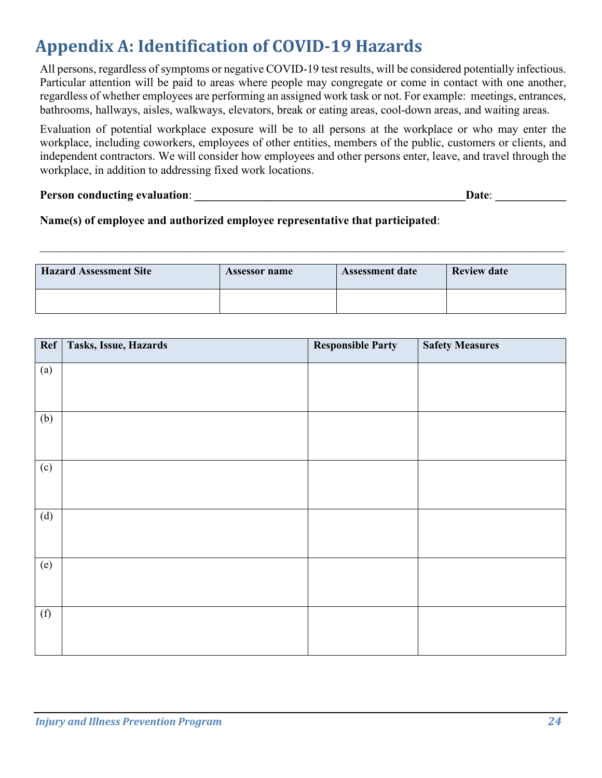# **Appendix A: Identification of COVID-19 Hazards**

All persons, regardless of symptoms or negative COVID-19 test results, will be considered potentially infectious. Particular attention will be paid to areas where people may congregate or come in contact with one another, regardless of whether employees are performing an assigned work task or not. For example: meetings, entrances, bathrooms, hallways, aisles, walkways, elevators, break or eating areas, cool-down areas, and waiting areas.

Evaluation of potential workplace exposure will be to all persons at the workplace or who may enter the workplace, including coworkers, employees of other entities, members of the public, customers or clients, and independent contractors. We will consider how employees and other persons enter, leave, and travel through the workplace, in addition to addressing fixed work locations.

#### **Person conducting evaluation:**  $\blacksquare$

#### **Name(s) of employee and authorized employee representative that participated**:

| <b>Hazard Assessment Site</b> | <b>Assessor name</b> | <b>Assessment date</b> | <b>Review date</b> |
|-------------------------------|----------------------|------------------------|--------------------|
|                               |                      |                        |                    |

 $\mathcal{L}_\mathcal{L} = \{ \mathcal{L}_\mathcal{L} = \{ \mathcal{L}_\mathcal{L} = \{ \mathcal{L}_\mathcal{L} = \{ \mathcal{L}_\mathcal{L} = \{ \mathcal{L}_\mathcal{L} = \{ \mathcal{L}_\mathcal{L} = \{ \mathcal{L}_\mathcal{L} = \{ \mathcal{L}_\mathcal{L} = \{ \mathcal{L}_\mathcal{L} = \{ \mathcal{L}_\mathcal{L} = \{ \mathcal{L}_\mathcal{L} = \{ \mathcal{L}_\mathcal{L} = \{ \mathcal{L}_\mathcal{L} = \{ \mathcal{L}_\mathcal{$ 

| $\overline{Ref}$ | Tasks, Issue, Hazards | <b>Responsible Party</b> | <b>Safety Measures</b> |
|------------------|-----------------------|--------------------------|------------------------|
| (a)              |                       |                          |                        |
| (b)              |                       |                          |                        |
| (c)              |                       |                          |                        |
| (d)              |                       |                          |                        |
| (e)              |                       |                          |                        |
| (f)              |                       |                          |                        |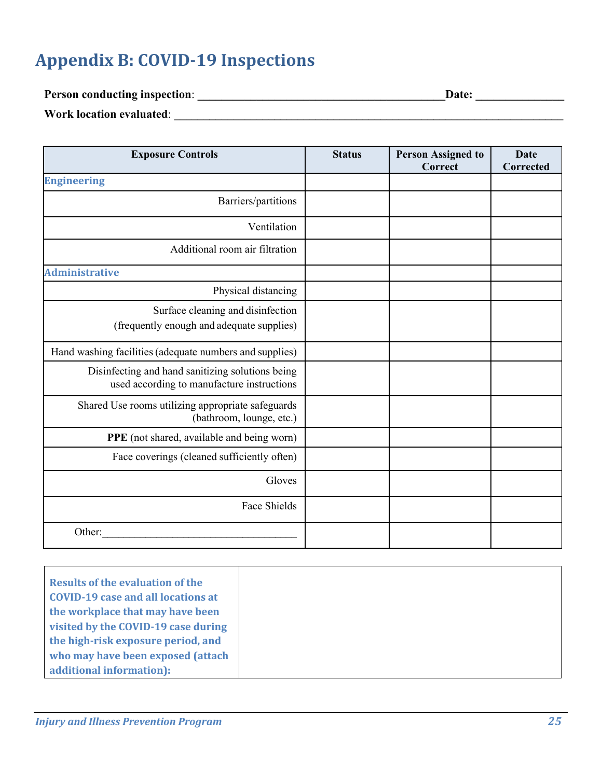# **Appendix B: COVID-19 Inspections**

**Person conducting inspection**: **\_\_\_\_\_\_\_\_\_\_\_\_\_\_\_\_\_\_\_\_\_\_\_\_\_\_\_\_\_\_\_\_\_\_\_\_\_\_\_\_\_\_Date: \_\_\_\_\_\_\_\_\_\_\_\_\_\_\_**

**Work location evaluated**: **\_\_\_\_\_\_\_\_\_\_\_\_\_\_\_\_\_\_\_\_\_\_\_\_\_\_\_\_\_\_\_\_\_\_\_\_\_\_\_\_\_\_\_\_\_\_\_\_\_\_\_\_\_\_\_\_\_\_\_\_\_\_\_\_\_\_**

| <b>Exposure Controls</b>                                                                       | <b>Status</b> | <b>Person Assigned to</b><br>Correct | <b>Date</b><br>Corrected |
|------------------------------------------------------------------------------------------------|---------------|--------------------------------------|--------------------------|
| <b>Engineering</b>                                                                             |               |                                      |                          |
| Barriers/partitions                                                                            |               |                                      |                          |
| Ventilation                                                                                    |               |                                      |                          |
| Additional room air filtration                                                                 |               |                                      |                          |
| <b>Administrative</b>                                                                          |               |                                      |                          |
| Physical distancing                                                                            |               |                                      |                          |
| Surface cleaning and disinfection<br>(frequently enough and adequate supplies)                 |               |                                      |                          |
| Hand washing facilities (adequate numbers and supplies)                                        |               |                                      |                          |
| Disinfecting and hand sanitizing solutions being<br>used according to manufacture instructions |               |                                      |                          |
| Shared Use rooms utilizing appropriate safeguards<br>(bathroom, lounge, etc.)                  |               |                                      |                          |
| PPE (not shared, available and being worn)                                                     |               |                                      |                          |
| Face coverings (cleaned sufficiently often)                                                    |               |                                      |                          |
| Gloves                                                                                         |               |                                      |                          |
| <b>Face Shields</b>                                                                            |               |                                      |                          |
| Other:                                                                                         |               |                                      |                          |

| <b>Results of the evaluation of the</b> |  |
|-----------------------------------------|--|
| COVID-19 case and all locations at      |  |
| the workplace that may have been        |  |
| visited by the COVID-19 case during     |  |
| the high-risk exposure period, and      |  |
| who may have been exposed (attach       |  |
| additional information):                |  |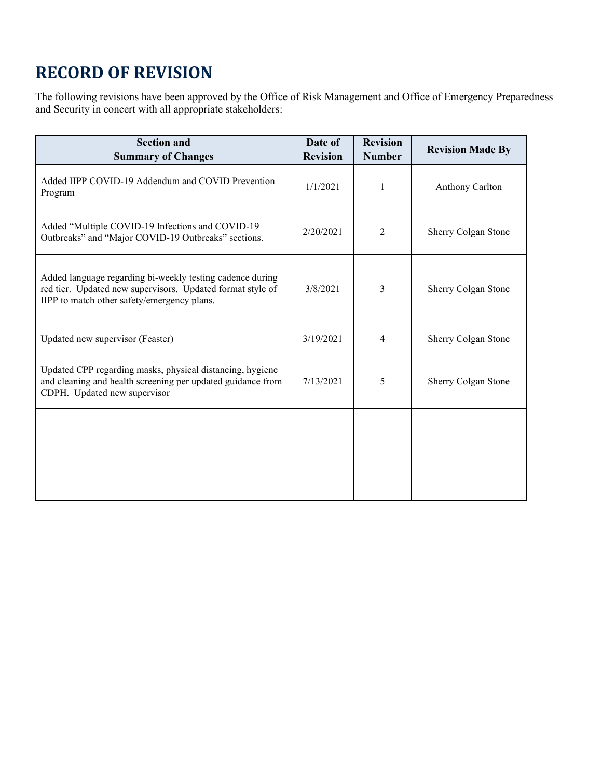# **RECORD OF REVISION**

The following revisions have been approved by the Office of Risk Management and Office of Emergency Preparedness and Security in concert with all appropriate stakeholders:

| <b>Section and</b><br><b>Summary of Changes</b>                                                                                                                        | Date of<br><b>Revision</b> | <b>Revision</b><br><b>Number</b> | <b>Revision Made By</b> |
|------------------------------------------------------------------------------------------------------------------------------------------------------------------------|----------------------------|----------------------------------|-------------------------|
| Added IIPP COVID-19 Addendum and COVID Prevention<br>Program                                                                                                           | 1/1/2021                   | 1                                | Anthony Carlton         |
| Added "Multiple COVID-19 Infections and COVID-19<br>Outbreaks" and "Major COVID-19 Outbreaks" sections.                                                                | 2/20/2021                  | 2                                | Sherry Colgan Stone     |
| Added language regarding bi-weekly testing cadence during<br>red tier. Updated new supervisors. Updated format style of<br>IIPP to match other safety/emergency plans. | 3/8/2021                   | 3                                | Sherry Colgan Stone     |
| Updated new supervisor (Feaster)                                                                                                                                       | 3/19/2021                  | 4                                | Sherry Colgan Stone     |
| Updated CPP regarding masks, physical distancing, hygiene<br>and cleaning and health screening per updated guidance from<br>CDPH. Updated new supervisor               | 7/13/2021                  | 5                                | Sherry Colgan Stone     |
|                                                                                                                                                                        |                            |                                  |                         |
|                                                                                                                                                                        |                            |                                  |                         |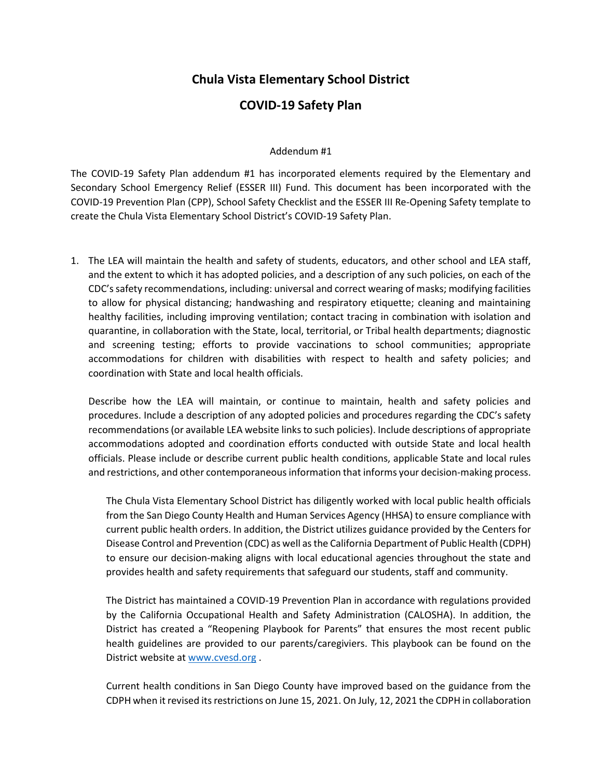#### **Chula Vista Elementary School District**

#### **COVID-19 Safety Plan**

#### Addendum #1

The COVID-19 Safety Plan addendum #1 has incorporated elements required by the Elementary and Secondary School Emergency Relief (ESSER III) Fund. This document has been incorporated with the COVID-19 Prevention Plan (CPP), School Safety Checklist and the ESSER III Re-Opening Safety template to create the Chula Vista Elementary School District's COVID-19 Safety Plan.

1. The LEA will maintain the health and safety of students, educators, and other school and LEA staff, and the extent to which it has adopted policies, and a description of any such policies, on each of the CDC's safety recommendations, including: universal and correct wearing of masks; modifying facilities to allow for physical distancing; handwashing and respiratory etiquette; cleaning and maintaining healthy facilities, including improving ventilation; contact tracing in combination with isolation and quarantine, in collaboration with the State, local, territorial, or Tribal health departments; diagnostic and screening testing; efforts to provide vaccinations to school communities; appropriate accommodations for children with disabilities with respect to health and safety policies; and coordination with State and local health officials.

Describe how the LEA will maintain, or continue to maintain, health and safety policies and procedures. Include a description of any adopted policies and procedures regarding the CDC's safety recommendations (or available LEA website links to such policies). Include descriptions of appropriate accommodations adopted and coordination efforts conducted with outside State and local health officials. Please include or describe current public health conditions, applicable State and local rules and restrictions, and other contemporaneous information that informs your decision-making process.

The Chula Vista Elementary School District has diligently worked with local public health officials from the San Diego County Health and Human Services Agency (HHSA) to ensure compliance with current public health orders. In addition, the District utilizes guidance provided by the Centers for Disease Control and Prevention (CDC) as well as the California Department of Public Health (CDPH) to ensure our decision-making aligns with local educational agencies throughout the state and provides health and safety requirements that safeguard our students, staff and community.

The District has maintained a COVID-19 Prevention Plan in accordance with regulations provided by the California Occupational Health and Safety Administration (CALOSHA). In addition, the District has created a "Reopening Playbook for Parents" that ensures the most recent public health guidelines are provided to our parents/caregiviers. This playbook can be found on the District website a[t www.cvesd.org](http://www.cvesd.org/) .

Current health conditions in San Diego County have improved based on the guidance from the CDPH when it revised its restrictions on June 15, 2021. On July, 12, 2021 the CDPH in collaboration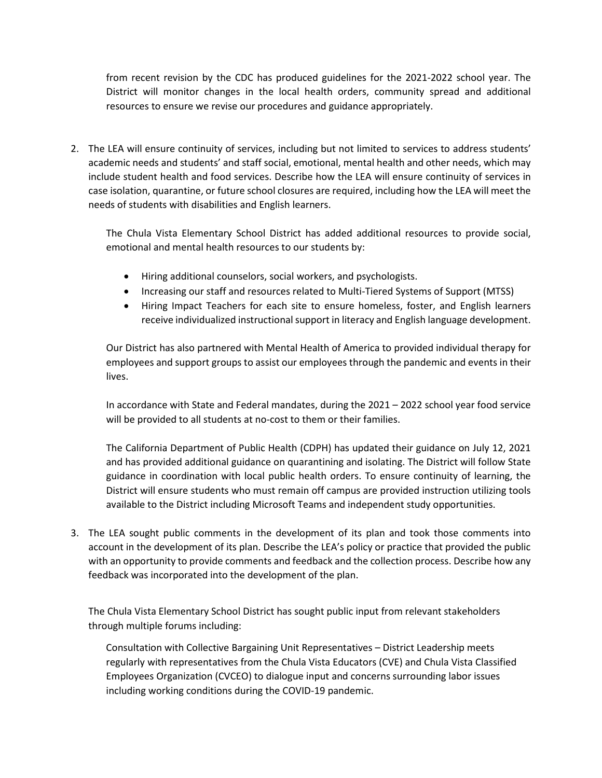from recent revision by the CDC has produced guidelines for the 2021-2022 school year. The District will monitor changes in the local health orders, community spread and additional resources to ensure we revise our procedures and guidance appropriately.

2. The LEA will ensure continuity of services, including but not limited to services to address students' academic needs and students' and staff social, emotional, mental health and other needs, which may include student health and food services. Describe how the LEA will ensure continuity of services in case isolation, quarantine, or future school closures are required, including how the LEA will meet the needs of students with disabilities and English learners.

The Chula Vista Elementary School District has added additional resources to provide social, emotional and mental health resources to our students by:

- Hiring additional counselors, social workers, and psychologists.
- Increasing our staff and resources related to Multi-Tiered Systems of Support (MTSS)
- Hiring Impact Teachers for each site to ensure homeless, foster, and English learners receive individualized instructional support in literacy and English language development.

Our District has also partnered with Mental Health of America to provided individual therapy for employees and support groups to assist our employees through the pandemic and events in their lives.

In accordance with State and Federal mandates, during the 2021 – 2022 school year food service will be provided to all students at no-cost to them or their families.

The California Department of Public Health (CDPH) has updated their guidance on July 12, 2021 and has provided additional guidance on quarantining and isolating. The District will follow State guidance in coordination with local public health orders. To ensure continuity of learning, the District will ensure students who must remain off campus are provided instruction utilizing tools available to the District including Microsoft Teams and independent study opportunities.

3. The LEA sought public comments in the development of its plan and took those comments into account in the development of its plan. Describe the LEA's policy or practice that provided the public with an opportunity to provide comments and feedback and the collection process. Describe how any feedback was incorporated into the development of the plan.

The Chula Vista Elementary School District has sought public input from relevant stakeholders through multiple forums including:

Consultation with Collective Bargaining Unit Representatives – District Leadership meets regularly with representatives from the Chula Vista Educators (CVE) and Chula Vista Classified Employees Organization (CVCEO) to dialogue input and concerns surrounding labor issues including working conditions during the COVID-19 pandemic.